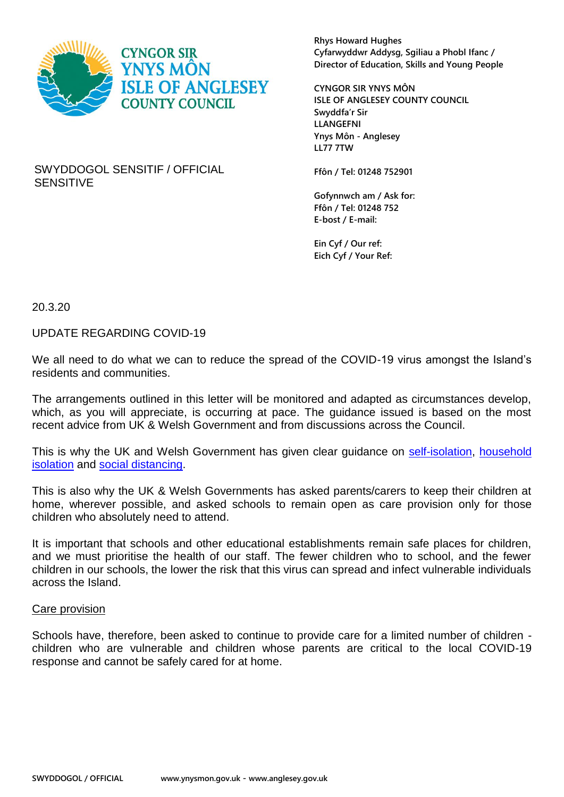

**Rhys Howard Hughes Cyfarwyddwr Addysg, Sgiliau a Phobl Ifanc / Director of Education, Skills and Young People**

**CYNGOR SIR YNYS MÔN ISLE OF ANGLESEY COUNTY COUNCIL Swyddfa'r Sir LLANGEFNI Ynys Môn - Anglesey LL77 7TW**

SWYDDOGOL SENSITIF / OFFICIAL SENSITIVE

**Ffôn / Tel: 01248 752901**

**Gofynnwch am / Ask for: Ffôn / Tel: 01248 752 E-bost / E-mail:**

**Ein Cyf / Our ref: Eich Cyf / Your Ref:**

20.3.20

UPDATE REGARDING COVID-19

We all need to do what we can to reduce the spread of the COVID-19 virus amongst the Island's residents and communities.

The arrangements outlined in this letter will be monitored and adapted as circumstances develop, which, as you will appreciate, is occurring at pace. The guidance issued is based on the most recent advice from UK & Welsh Government and from discussions across the Council.

This is why the UK and Welsh Government has given clear guidance on [self-isolation,](https://www.nhs.uk/conditions/coronavirus-covid-19/self-isolation-advice/) household [isolation](https://www.gov.uk/government/publications/covid-19-stay-at-home-guidance) and [social distancing.](https://www.gov.uk/government/publications/covid-19-guidance-on-social-distancing-and-for-vulnerable-people)

This is also why the UK & Welsh Governments has asked parents/carers to keep their children at home, wherever possible, and asked schools to remain open as care provision only for those children who absolutely need to attend.

It is important that schools and other educational establishments remain safe places for children, and we must prioritise the health of our staff. The fewer children who to school, and the fewer children in our schools, the lower the risk that this virus can spread and infect vulnerable individuals across the Island.

#### Care provision

Schools have, therefore, been asked to continue to provide care for a limited number of children children who are vulnerable and children whose parents are critical to the local COVID-19 response and cannot be safely cared for at home.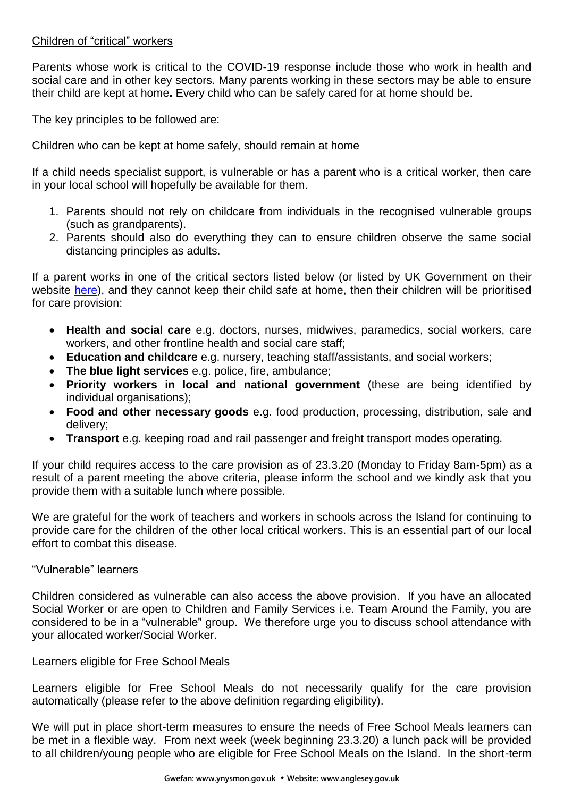# Children of "critical" workers

Parents whose work is critical to the COVID-19 response include those who work in health and social care and in other key sectors. Many parents working in these sectors may be able to ensure their child are kept at home**.** Every child who can be safely cared for at home should be.

The key principles to be followed are:

Children who can be kept at home safely, should remain at home

If a child needs specialist support, is vulnerable or has a parent who is a critical worker, then care in your local school will hopefully be available for them.

- 1. Parents should not rely on childcare from individuals in the recognised vulnerable groups (such as grandparents).
- 2. Parents should also do everything they can to ensure children observe the same social distancing principles as adults.

If a parent works in one of the critical sectors listed below (or listed by UK Government on their website [here\)](https://www.gov.uk/government/publications/coronavirus-covid-19-maintaining-educational-provision/guidance-for-schools-colleges-and-local-authorities-on-maintaining-educational-provision), and they cannot keep their child safe at home, then their children will be prioritised for care provision:

- **Health and social care** e.g. doctors, nurses, midwives, paramedics, social workers, care workers, and other frontline health and social care staff;
- **Education and childcare** e.g. nursery, teaching staff/assistants, and social workers;
- **The blue light services** e.g. police, fire, ambulance;
- **Priority workers in local and national government** (these are being identified by individual organisations);
- **Food and other necessary goods** e.g. food production, processing, distribution, sale and delivery;
- **Transport** e.g. keeping road and rail passenger and freight transport modes operating.

If your child requires access to the care provision as of 23.3.20 (Monday to Friday 8am-5pm) as a result of a parent meeting the above criteria, please inform the school and we kindly ask that you provide them with a suitable lunch where possible.

We are grateful for the work of teachers and workers in schools across the Island for continuing to provide care for the children of the other local critical workers. This is an essential part of our local effort to combat this disease.

## "Vulnerable" learners

Children considered as vulnerable can also access the above provision. If you have an allocated Social Worker or are open to Children and Family Services i.e. Team Around the Family, you are considered to be in a "vulnerable" group. We therefore urge you to discuss school attendance with your allocated worker/Social Worker.

#### Learners eligible for Free School Meals

Learners eligible for Free School Meals do not necessarily qualify for the care provision automatically (please refer to the above definition regarding eligibility).

We will put in place short-term measures to ensure the needs of Free School Meals learners can be met in a flexible way. From next week (week beginning 23.3.20) a lunch pack will be provided to all children/young people who are eligible for Free School Meals on the Island. In the short-term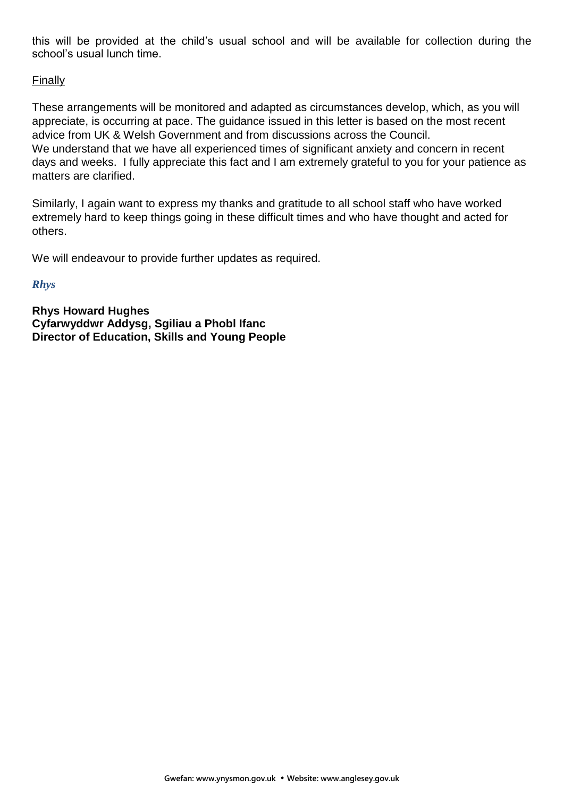this will be provided at the child's usual school and will be available for collection during the school's usual lunch time.

# Finally

These arrangements will be monitored and adapted as circumstances develop, which, as you will appreciate, is occurring at pace. The guidance issued in this letter is based on the most recent advice from UK & Welsh Government and from discussions across the Council. We understand that we have all experienced times of significant anxiety and concern in recent days and weeks. I fully appreciate this fact and I am extremely grateful to you for your patience as matters are clarified.

Similarly, I again want to express my thanks and gratitude to all school staff who have worked extremely hard to keep things going in these difficult times and who have thought and acted for others.

We will endeavour to provide further updates as required.

### *Rhys*

**Rhys Howard Hughes Cyfarwyddwr Addysg, Sgiliau a Phobl Ifanc Director of Education, Skills and Young People**